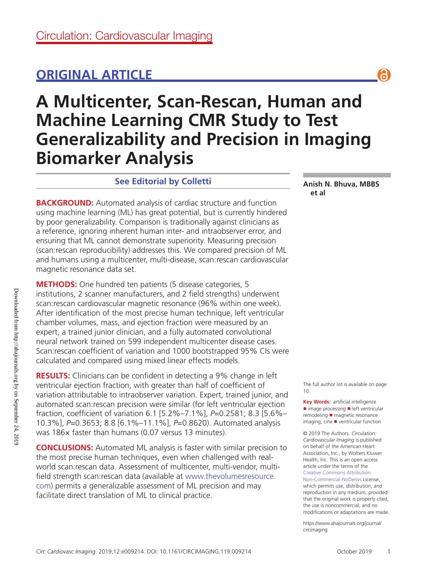# **ORIGINAL ARTICLE**

# **A Multicenter, Scan-Rescan, Human and Machine Learning CMR Study to Test Generalizability and Precision in Imaging Biomarker Analysis**

# **See Editorial by Colletti**

**BACKGROUND:** Automated analysis of cardiac structure and function using machine learning (ML) has great potential, but is currently hindered by poor generalizability. Comparison is traditionally against clinicians as a reference, ignoring inherent human inter- and intraobserver error, and ensuring that ML cannot demonstrate superiority. Measuring precision (scan:rescan reproducibility) addresses this. We compared precision of ML and humans using a multicenter, multi-disease, scan:rescan cardiovascular magnetic resonance data set.

**METHODS:** One hundred ten patients (5 disease categories, 5 institutions, 2 scanner manufacturers, and 2 field strengths) underwent scan:rescan cardiovascular magnetic resonance (96% within one week). After identification of the most precise human technique, left ventricular chamber volumes, mass, and ejection fraction were measured by an expert, a trained junior clinician, and a fully automated convolutional neural network trained on 599 independent multicenter disease cases. Scan:rescan coefficient of variation and 1000 bootstrapped 95% CIs were calculated and compared using mixed linear effects models.

**RESULTS:** Clinicians can be confident in detecting a 9% change in left ventricular ejection fraction, with greater than half of coefficient of variation attributable to intraobserver variation. Expert, trained junior, and automated scan:rescan precision were similar (for left ventricular ejection fraction, coefficient of variation 6.1 [5.2%–7.1%], *P*=0.2581; 8.3 [5.6%– 10.3%], *P*=0.3653; 8.8 [6.1%–11.1%], *P*=0.8620). Automated analysis was 186× faster than humans (0.07 versus 13 minutes).

**CONCLUSIONS:** Automated ML analysis is faster with similar precision to the most precise human techniques, even when challenged with realworld scan:rescan data. Assessment of multicenter, multi-vendor, multifield strength scan:rescan data (available at www.thevolumesresource. com) permits a generalizable assessment of ML precision and may facilitate direct translation of ML to clinical practice.

**Anish N. Bhuva, MBBS et al**

ဥ

The full author list is available on page 10.

**Key Words:** artificial intelligence ■ image processing ■ left ventricular remodeling ■ magnetic resonance  $imaging$ , cine  $\blacksquare$  ventricular function

© 2019 The Authors. *Circulation: Cardiovascular Imaging* is published on behalf of the American Heart Association, Inc., by Wolters Kluwer Health, Inc. This is an open access article under the terms of the Creative Commons Attribution

Non-Commercial-NoDerivs License, which permits use, distribution, and reproduction in any medium, provided that the original work is properly cited. the use is noncommercial, and no modifications or adaptations are made.

https://www.ahajournals.org/journal/ circimaging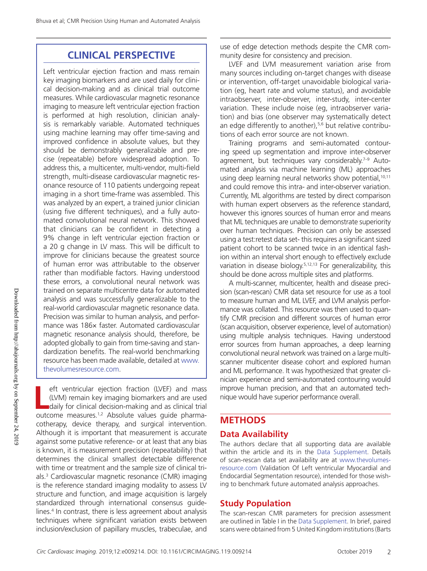# **CLINICAL PERSPECTIVE**

Left ventricular ejection fraction and mass remain key imaging biomarkers and are used daily for clinical decision-making and as clinical trial outcome measures. While cardiovascular magnetic resonance imaging to measure left ventricular ejection fraction is performed at high resolution, clinician analysis is remarkably variable. Automated techniques using machine learning may offer time-saving and improved confidence in absolute values, but they should be demonstrably generalizable and precise (repeatable) before widespread adoption. To address this, a multicenter, multi-vendor, multi-field strength, multi-disease cardiovascular magnetic resonance resource of 110 patients undergoing repeat imaging in a short time-frame was assembled. This was analyzed by an expert, a trained junior clinician (using five different techniques), and a fully automated convolutional neural network. This showed that clinicians can be confident in detecting a 9% change in left ventricular ejection fraction or a 20 g change in LV mass. This will be difficult to improve for clinicians because the greatest source of human error was attributable to the observer rather than modifiable factors. Having understood these errors, a convolutional neural network was trained on separate multicentre data for automated analysis and was successfully generalizable to the real-world cardiovascular magnetic resonance data. Precision was similar to human analysis, and performance was 186× faster. Automated cardiovascular magnetic resonance analysis should, therefore, be adopted globally to gain from time-saving and standardization benefits. The real-world benchmarking resource has been made available, detailed at www. thevolumesresource.com.

**LEVEF)** and mass (LVM) remain key imaging biomarkers and are used daily for clinical decision-making and as clinical trial outcome measures.<sup>1,2</sup> Absolute values guide pharmaeft ventricular ejection fraction (LVEF) and mass (LVM) remain key imaging biomarkers and are used daily for clinical decision-making and as clinical trial cotherapy, device therapy, and surgical intervention. Although it is important that measurement is accurate against some putative reference- or at least that any bias is known, it is measurement precision (repeatability) that determines the clinical smallest detectable difference with time or treatment and the sample size of clinical trials.3 Cardiovascular magnetic resonance (CMR) imaging is the reference standard imaging modality to assess LV structure and function, and image acquisition is largely standardized through international consensus guidelines.4 In contrast, there is less agreement about analysis techniques where significant variation exists between inclusion/exclusion of papillary muscles, trabeculae, and

use of edge detection methods despite the CMR community desire for consistency and precision.

LVEF and LVM measurement variation arise from many sources including on-target changes with disease or intervention, off-target unavoidable biological variation (eg, heart rate and volume status), and avoidable intraobserver, inter-observer, inter-study, inter-center variation. These include noise (eg, intraobserver variation) and bias (one observer may systematically detect an edge differently to another),<sup>5,6</sup> but relative contributions of each error source are not known.

Training programs and semi-automated contouring speed up segmentation and improve inter-observer agreement, but techniques vary considerably.<sup>7-9</sup> Automated analysis via machine learning (ML) approaches using deep learning neural networks show potential,<sup>10,11</sup> and could remove this intra- and inter-observer variation. Currently, ML algorithms are tested by direct comparison with human expert observers as the reference standard, however this ignores sources of human error and means that ML techniques are unable to demonstrate superiority over human techniques. Precision can only be assessed using a test:retest data set- this requires a significant sized patient cohort to be scanned twice in an identical fashion within an interval short enough to effectively exclude variation in disease biology.5,12,13 For generalizability, this should be done across multiple sites and platforms.

A multi-scanner, multicenter, health and disease precision (scan-rescan) CMR data set resource for use as a tool to measure human and ML LVEF, and LVM analysis performance was collated. This resource was then used to quantify CMR precision and different sources of human error (scan acquisition, observer experience, level of automation) using multiple analysis techniques. Having understood error sources from human approaches, a deep learning convolutional neural network was trained on a large multiscanner multicenter disease cohort and explored human and ML performance. It was hypothesized that greater clinician experience and semi-automated contouring would improve human precision, and that an automated technique would have superior performance overall.

# **METHODS**

# **Data Availability**

The authors declare that all supporting data are available within the article and its in the Data Supplement. Details of scan-rescan data set availability are at www.thevolumesresource.com (Validation Of Left ventricular Myocardial and Endocardial Segmentation resource), intended for those wishing to benchmark future automated analysis approaches.

# **Study Population**

The scan-rescan CMR parameters for precision assessment are outlined in Table I in the Data Supplement. In brief, paired scans were obtained from 5 United Kingdom institutions (Barts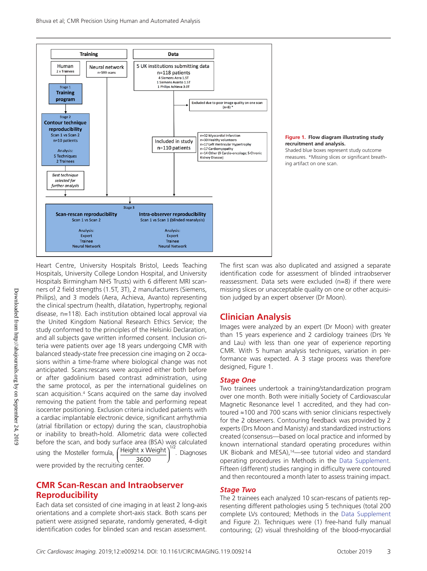

#### **Figure 1. Flow diagram illustrating study recruitment and analysis.**

Shaded blue boxes represent study outcome measures. \*Missing slices or significant breathing artifact on one scan.

Heart Centre, University Hospitals Bristol, Leeds Teaching Hospitals, University College London Hospital, and University Hospitals Birmingham NHS Trusts) with 6 different MRI scanners of 2 field strengths (1.5T, 3T), 2 manufacturers (Siemens, Philips), and 3 models (Aera, Achieva, Avanto) representing the clinical spectrum (health, dilatation, hypertrophy, regional disease, n=118). Each institution obtained local approval via the United Kingdom National Research Ethics Service; the study conformed to the principles of the Helsinki Declaration, and all subjects gave written informed consent. Inclusion criteria were patients over age 18 years undergoing CMR with balanced steady-state free precession cine imaging on 2 occasions within a time-frame where biological change was not anticipated. Scans:rescans were acquired either both before or after gadolinium based contrast administration, using the same protocol, as per the international guidelines on scan acquisition.<sup>4</sup> Scans acquired on the same day involved removing the patient from the table and performing repeat isocenter positioning. Exclusion criteria included patients with a cardiac implantable electronic device, significant arrhythmia (atrial fibrillation or ectopy) during the scan, claustrophobia or inability to breath-hold. Allometric data were collected before the scan, and body surface area (BSA) was calculated

using the Mosteller formula, 3600  $\left(\frac{\text{Height x Weight}}{3600}\right)^{1/2}$ ∖

$$
\frac{a}{\pi} \int_{0}^{\pi/2}
$$
. Diagnoses

were provided by the recruiting center.

# **CMR Scan-Rescan and Intraobserver Reproducibility**

Each data set consisted of cine imaging in at least 2 long-axis orientations and a complete short-axis stack. Both scans per patient were assigned separate, randomly generated, 4-digit identification codes for blinded scan and rescan assessment.

The first scan was also duplicated and assigned a separate identification code for assessment of blinded intraobserver reassessment. Data sets were excluded (n=8) if there were missing slices or unacceptable quality on one or other acquisition judged by an expert observer (Dr Moon).

#### **Clinician Analysis**

Images were analyzed by an expert (Dr Moon) with greater than 15 years experience and 2 cardiology trainees (Drs Ye and Lau) with less than one year of experience reporting CMR. With 5 human analysis techniques, variation in performance was expected. A 3 stage process was therefore designed, Figure 1.

#### *Stage One*

Two trainees undertook a training/standardization program over one month. Both were initially Society of Cardiovascular Magnetic Resonance level 1 accredited, and they had contoured ≈100 and 700 scans with senior clinicians respectively for the 2 observers. Contouring feedback was provided by 2 experts (Drs Moon and Manisty) and standardized instructions created (consensus—based on local practice and informed by known international standard operating procedures within UK Biobank and MESA), $14$ —see tutorial video and standard operating procedures in Methods in the Data Supplement. Fifteen (different) studies ranging in difficulty were contoured and then recontoured a month later to assess training impact.

#### *Stage Two*

The 2 trainees each analyzed 10 scan-rescans of patients representing different pathologies using 5 techniques (total 200 complete LVs contoured; Methods in the Data Supplement and Figure 2). Techniques were (1) free-hand fully manual contouring; (2) visual thresholding of the blood-myocardial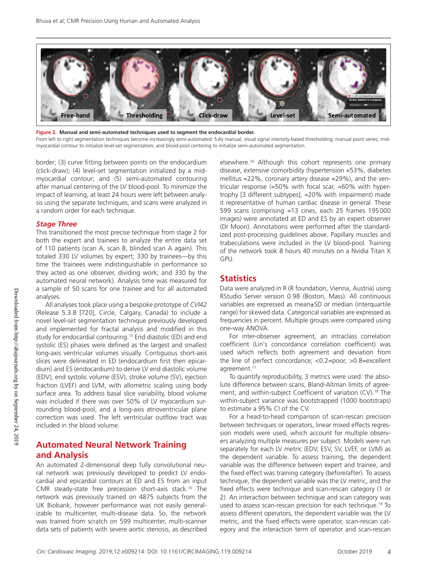

**Figure 2. Manual and semi-automated techniques used to segment the endocardial border.**

From left to right segmentation techniques become increasingly semi-automated: fully manual; visual signal intensity-based thresholding; manual point series; midmyocardial contour to initialize level-set segmentation; and blood-pool centering to initialize semi-automated segmentation.

border; (3) curve fitting between points on the endocardium (click-draw); (4) level-set segmentation initialized by a midmyocardial contour; and (5) semi-automated contouring after manual centering of the LV blood-pool. To minimize the impact of learning, at least 24 hours were left between analysis using the separate techniques, and scans were analyzed in a random order for each technique.

#### *Stage Three*

This transitioned the most precise technique from stage 2 for both the expert and trainees to analyze the entire data set of 110 patients (scan A, scan B, blinded scan A again). This totaled 330 LV volumes by expert; 330 by trainees—by this time the trainees were indistinguishable in performance so they acted as one observer, dividing work; and 330 by the automated neural network). Analysis time was measured for a sample of 50 scans for one trainee and for all automated analyses.

All analyses took place using a bespoke prototype of *CVI42* (Release 5.3.8 [720], Circle, Calgary, Canada) to include a novel level-set segmentation technique previously developed and implemented for fractal analysis and modified in this study for endocardial contouring.15 End diastolic (ED) and end systolic (ES) phases were defined as the largest and smallest long-axis ventricular volumes visually. Contiguous short-axis slices were delineated in ED (endocardium first then epicardium) and ES (endocardium) to derive LV end diastolic volume (EDV), end systolic volume (ESV), stroke volume (SV), ejection fraction (LVEF) and LVM, with allometric scaling using body surface area. To address basal slice variability, blood volume was included if there was over 50% of LV myocardium surrounding blood-pool, and a long-axis atrioventricular plane correction was used. The left ventricular outflow tract was included in the blood volume.

#### **Automated Neural Network Training and Analysis**

An automated 2-dimensional deep fully convolutional neural network was previously developed to predict LV endocardial and epicardial contours at ED and ES from an input CMR steady-state free precession short-axis stack.10 The network was previously trained on 4875 subjects from the UK Biobank, however performance was not easily generalizable to multicenter, multi-disease data. So, the network was trained from scratch on 599 multicenter, multi-scanner data sets of patients with severe aortic stenosis, as described elsewhere.16 Although this cohort represents one primary disease, extensive comorbidity (hypertension ≈53%, diabetes mellitus ≈22%, coronary artery disease ≈29%), and the ventricular response (≈50% with focal scar, ≈60% with hypertrophy [3 different subtypes], ≈20% with impairment) made it representative of human cardiac disease in general. These 599 scans (comprising ≈13 cines, each 25 frames 195000 images) were annotated at ED and ES by an expert observer (Dr Moon). Annotations were performed after the standardized post-processing guidelines above. Papillary muscles and trabeculations were included in the LV blood-pool. Training of the network took 8 hours 40 minutes on a Nvidia Titan X GPU.

## **Statistics**

Data were analyzed in R (R foundation, Vienna, Austria) using RStudio Server version 0.98 (Boston, Mass). All continuous variables are expressed as mean±SD or median (interquartile range) for skewed data. Categorical variables are expressed as frequencies in percent. Multiple groups were compared using one-way ANOVA.

For inter-observer agreement, an intraclass correlation coefficient (Lin's concordance correlation coefficient) was used which reflects both agreement and deviation from the line of perfect concordance; <0.2=poor, >0.8=excellent agreement.<sup>17</sup>

To quantify reproducibility, 3 metrics were used: the absolute difference between scans, Bland-Altman limits of agreement, and within-subject Coefficient of variation (CV).<sup>18</sup> The within-subject variance was bootstrapped (1000 bootstraps) to estimate a 95% CI of the CV.

For a head-to-head comparison of scan-rescan precision between techniques or operators, linear mixed effects regression models were used, which account for multiple observers analyzing multiple measures per subject. Models were run separately for each LV metric (EDV, ESV, SV, LVEF, or LVM) as the dependent variable. To assess training, the dependent variable was the difference between expert and trainee, and the fixed effect was training category (before/after). To assess technique, the dependent variable was the LV metric, and the fixed effects were technique and scan-rescan category (1 or 2). An interaction between technique and scan category was used to assess scan-rescan precision for each technique.<sup>19</sup> To assess different operators, the dependent variable was the LV metric, and the fixed effects were operator, scan-rescan category and the interaction term of operator and scan-rescan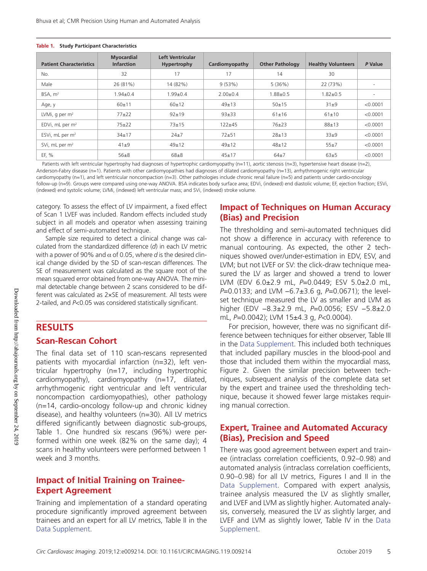#### **Table 1. Study Participant Characteristics**

| <b>Patient Characteristics</b> | <b>Myocardial</b><br><b>Infarction</b> | Left Ventricular<br>Hypertrophy | Cardiomyopathy | <b>Other Pathology</b> | <b>Healthy Volunteers</b> | P Value                  |
|--------------------------------|----------------------------------------|---------------------------------|----------------|------------------------|---------------------------|--------------------------|
| No.                            | 32                                     | 17                              | 17             | 14                     | 30                        |                          |
| Male                           | 26 (81%)                               | 14 (82%)                        | 9(53%)         | 5(36%)                 | 22 (73%)                  | $\overline{\phantom{a}}$ |
| BSA, m <sup>2</sup>            | $1.94 \pm 0.4$                         | $1.99 + 0.4$                    | $2.00 \pm 0.4$ | $1.88 + 0.5$           | $1.82 + 0.5$              | $\overline{\phantom{a}}$ |
| Age, y                         | $60 + 11$                              | $60+12$                         | $49 + 13$      | $50 + 15$              | $31\pm9$                  | < 0.0001                 |
| LVMi, q per $m2$               | $77+22$                                | $92 \pm 19$                     | $93+33$        | $61 \pm 16$            | $61 \pm 10$               | < 0.0001                 |
| EDVi, mL per m <sup>2</sup>    | $75+22$                                | $73 + 15$                       | $122 + 45$     | $76 + 23$              | $88 + 13$                 | < 0.0001                 |
| ESVi, mL per $m2$              | $34 \pm 17$                            | $24\pm7$                        | $72 + 51$      | $28 + 13$              | 33±9                      | < 0.0001                 |
| SVi, mL per $m2$               | $41\pm9$                               | $49 + 12$                       | $49+12$        | $48 + 12$              | 55±7                      | < 0.0001                 |
| EF, %                          | $56 + 8$                               | $68 + 8$                        | $45 + 17$      | $64\pm7$               | 63±5                      | < 0.0001                 |

Patients with left ventricular hypertrophy had diagnoses of hypertrophic cardiomyopathy (n=11), aortic stenosis (n=3), hypertensive heart disease (n=2), Anderson-Fabry disease (n=1). Patients with other cardiomyopathies had diagnoses of dilated cardiomyopathy (n=13), arrhythmogenic right ventricular cardiomyopathy (n=1), and left ventricular noncompaction (n=3). Other pathologies include chronic renal failure (n=5) and patients under cardio-oncology follow-up (n=9). Groups were compared using one-way ANOVA. BSA indicates body surface area; EDVi, (indexed) end diastolic volume; EF, ejection fraction; ESVi, (indexed) end systolic volume; LVMi, (indexed) left ventricular mass; and SVi, (indexed) stroke volume.

category. To assess the effect of LV impairment, a fixed effect of Scan 1 LVEF was included. Random effects included study subject in all models and operator when assessing training and effect of semi-automated technique.

Sample size required to detect a clinical change was calculated from the standardized difference (*d*) in each LV metric with a power of 90% and  $\alpha$  of 0.05, where *d* is the desired clinical change divided by the SD of scan-rescan differences. The SE of measurement was calculated as the square root of the mean squared error obtained from one-way ANOVA. The minimal detectable change between 2 scans considered to be different was calculated as 2×SE of measurement. All tests were 2-tailed, and *P*<0.05 was considered statistically significant.

# **RESULTS**

#### **Scan-Rescan Cohort**

The final data set of 110 scan-rescans represented patients with myocardial infarction (n=32), left ventricular hypertrophy (n=17, including hypertrophic cardiomyopathy), cardiomyopathy (n=17, dilated, arrhythmogenic right ventricular and left ventricular noncompaction cardiomyopathies), other pathology (n=14, cardio-oncology follow-up and chronic kidney disease), and healthy volunteers (n=30). All LV metrics differed significantly between diagnostic sub-groups, Table 1. One hundred six rescans (96%) were performed within one week (82% on the same day); 4 scans in healthy volunteers were performed between 1 week and 3 months.

# **Impact of Initial Training on Trainee-Expert Agreement**

Training and implementation of a standard operating procedure significantly improved agreement between trainees and an expert for all LV metrics, Table II in the Data Supplement.

## **Impact of Techniques on Human Accuracy (Bias) and Precision**

The thresholding and semi-automated techniques did not show a difference in accuracy with reference to manual contouring. As expected, the other 2 techniques showed over/under-estimation in EDV, ESV, and LVM; but not LVEF or SV: the click-draw technique measured the LV as larger and showed a trend to lower LVM (EDV 6.0±2.9 mL, *P*=0.0449; ESV 5.0±2.0 mL, *P*=0.0133; and LVM −6.7±3.6 g, *P*=0.0671); the levelset technique measured the LV as smaller and LVM as higher (EDV −8.3±2.9 mL, *P*=0.0056; ESV −5.8±2.0 mL, *P*=0.0042); LVM 15±4.3 g, *P*<0.0004).

For precision, however, there was no significant difference between techniques for either observer, Table III in the Data Supplement. This included both techniques that included papillary muscles in the blood-pool and those that included them within the myocardial mass, Figure 2. Given the similar precision between techniques, subsequent analysis of the complete data set by the expert and trainee used the thresholding technique, because it showed fewer large mistakes requiring manual correction.

## **Expert, Trainee and Automated Accuracy (Bias), Precision and Speed**

There was good agreement between expert and trainee (intraclass correlation coefficients, 0.92–0.98) and automated analysis (intraclass correlation coefficients, 0.90–0.98) for all LV metrics, Figures I and II in the Data Supplement. Compared with expert analysis, trainee analysis measured the LV as slightly smaller, and LVEF and LVM as slightly higher. Automated analysis, conversely, measured the LV as slightly larger, and LVEF and LVM as slightly lower, Table IV in the Data Supplement.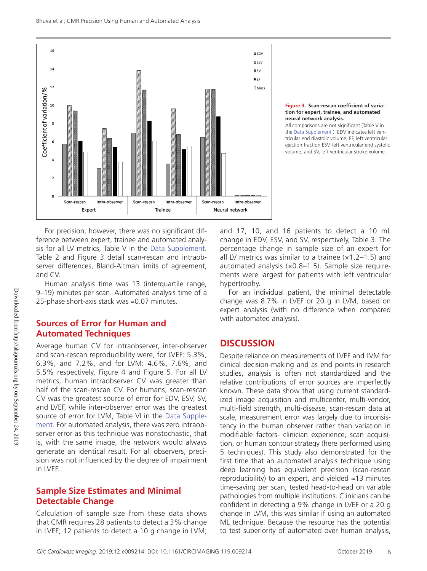

For precision, however, there was no significant difference between expert, trainee and automated analysis for all LV metrics, Table V in the Data Supplement. Table 2 and Figure 3 detail scan-rescan and intraobserver differences, Bland-Altman limits of agreement, and CV.

Human analysis time was 13 (interquartile range, 9–19) minutes per scan. Automated analysis time of a 25-phase short-axis stack was ≈0.07 minutes.

# **Sources of Error for Human and Automated Techniques**

Average human CV for intraobserver, inter-observer and scan-rescan reproducibility were, for LVEF: 5.3%, 6.3%, and 7.2%, and for LVM: 4.6%, 7.6%, and 5.5% respectively, Figure 4 and Figure 5. For all LV metrics, human intraobserver CV was greater than half of the scan-rescan CV. For humans, scan-rescan CV was the greatest source of error for EDV, ESV, SV, and LVEF, while inter-observer error was the greatest source of error for LVM, Table VI in the Data Supplement. For automated analysis, there was zero intraobserver error as this technique was nonstochastic, that is, with the same image, the network would always generate an identical result. For all observers, precision was not influenced by the degree of impairment in LVEF.

# **Sample Size Estimates and Minimal Detectable Change**

Calculation of sample size from these data shows that CMR requires 28 patients to detect a 3% change in LVEF; 12 patients to detect a 10 g change in LVM;

**Figure 3. Scan-rescan coefficient of variation for expert, trainee, and automated neural network analysis.**

All comparisons are not significant (Table V in the Data Supplement ). EDV indicates left ventricular end diastolic volume; EF, left ventricular ejection fraction ESV, left ventricular end systolic volume; and SV, left ventricular stroke volume.

and 17, 10, and 16 patients to detect a 10 mL change in EDV, ESV, and SV, respectively, Table 3. The percentage change in sample size of an expert for all LV metrics was similar to a trainee  $(x1.2-1.5)$  and automated analysis (×0.8–1.5). Sample size requirements were largest for patients with left ventricular hypertrophy.

For an individual patient, the minimal detectable change was 8.7% in LVEF or 20 g in LVM, based on expert analysis (with no difference when compared with automated analysis).

# **DISCUSSION**

Despite reliance on measurements of LVEF and LVM for clinical decision-making and as end points in research studies, analysis is often not standardized and the relative contributions of error sources are imperfectly known. These data show that using current standardized image acquisition and multicenter, multi-vendor, multi-field strength, multi-disease, scan-rescan data at scale, measurement error was largely due to inconsistency in the human observer rather than variation in modifiable factors- clinician experience, scan acquisition, or human contour strategy (here performed using 5 techniques). This study also demonstrated for the first time that an automated analysis technique using deep learning has equivalent precision (scan-rescan reproducibility) to an expert, and yielded ≈13 minutes time-saving per scan, tested head-to-head on variable pathologies from multiple institutions. Clinicians can be confident in detecting a 9% change in LVEF or a 20 g change in LVM, this was similar if using an automated ML technique. Because the resource has the potential to test superiority of automated over human analysis,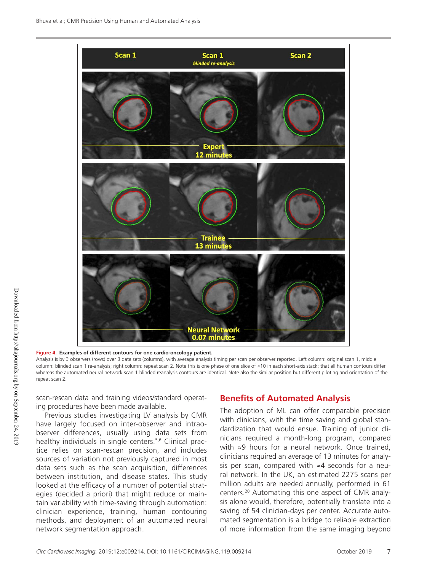

#### **Figure 4. Examples of different contours for one cardio-oncology patient.**

Analysis is by 3 observers (rows) over 3 data sets (columns), with average analysis timing per scan per observer reported. Left column: original scan 1, middle column: blinded scan 1 re-analysis; right column: repeat scan 2. Note this is one phase of one slice of ≈10 in each short-axis stack; that all human contours differ whereas the automated neural network scan 1 blinded reanalysis contours are identical. Note also the similar position but different piloting and orientation of the repeat scan 2.

scan-rescan data and training videos/standard operating procedures have been made available.

Previous studies investigating LV analysis by CMR have largely focused on inter-observer and intraobserver differences, usually using data sets from healthy individuals in single centers.<sup>5,6</sup> Clinical practice relies on scan-rescan precision, and includes sources of variation not previously captured in most data sets such as the scan acquisition, differences between institution, and disease states. This study looked at the efficacy of a number of potential strategies (decided a priori) that might reduce or maintain variability with time-saving through automation: clinician experience, training, human contouring methods, and deployment of an automated neural network segmentation approach.

#### **Benefits of Automated Analysis**

The adoption of ML can offer comparable precision with clinicians, with the time saving and global standardization that would ensue. Training of junior clinicians required a month-long program, compared with ≈9 hours for a neural network. Once trained, clinicians required an average of 13 minutes for analysis per scan, compared with ≈4 seconds for a neural network. In the UK, an estimated 2275 scans per million adults are needed annually, performed in 61 centers.20 Automating this one aspect of CMR analysis alone would, therefore, potentially translate into a saving of 54 clinician-days per center. Accurate automated segmentation is a bridge to reliable extraction of more information from the same imaging beyond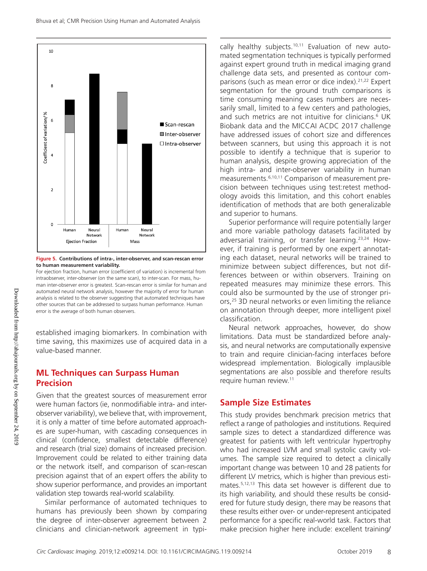

**Figure 5. Contributions of intra-, inter-observer, and scan-rescan error to human measurement variability.**

For ejection fraction, human error (coefficient of variation) is incremental from intraobserver, inter-observer (on the same scan), to inter-scan. For mass, human inter-observer error is greatest. Scan-rescan error is similar for human and automated neural network analysis, however the majority of error for human analysis is related to the observer suggesting that automated techniques have other sources that can be addressed to surpass human performance. Human error is the average of both human observers.

established imaging biomarkers. In combination with time saving, this maximizes use of acquired data in a value-based manner.

## **ML Techniques can Surpass Human Precision**

Given that the greatest sources of measurement error were human factors (ie, nonmodifiable intra- and interobserver variability), we believe that, with improvement, it is only a matter of time before automated approaches are super-human, with cascading consequences in clinical (confidence, smallest detectable difference) and research (trial size) domains of increased precision. Improvement could be related to either training data or the network itself, and comparison of scan-rescan precision against that of an expert offers the ability to show superior performance, and provides an important validation step towards real-world scalability.

Similar performance of automated techniques to humans has previously been shown by comparing the degree of inter-observer agreement between 2 clinicians and clinician-network agreement in typi-

cally healthy subjects.<sup>10,11</sup> Evaluation of new automated segmentation techniques is typically performed against expert ground truth in medical imaging grand challenge data sets, and presented as contour comparisons (such as mean error or dice index).21,22 Expert segmentation for the ground truth comparisons is time consuming meaning cases numbers are necessarily small, limited to a few centers and pathologies, and such metrics are not intuitive for clinicians.<sup>6</sup> UK Biobank data and the MICCAI ACDC 2017 challenge have addressed issues of cohort size and differences between scanners, but using this approach it is not possible to identify a technique that is superior to human analysis, despite growing appreciation of the high intra- and inter-observer variability in human measurements.6,10,11 Comparison of measurement precision between techniques using test:retest methodology avoids this limitation, and this cohort enables identification of methods that are both generalizable and superior to humans.

Superior performance will require potentially larger and more variable pathology datasets facilitated by adversarial training, or transfer learning.23,24 However, if training is performed by one expert annotating each dataset, neural networks will be trained to minimize between subject differences, but not differences between or within observers. Training on repeated measures may minimize these errors. This could also be surmounted by the use of stronger priors,<sup>25</sup> 3D neural networks or even limiting the reliance on annotation through deeper, more intelligent pixel classification.

Neural network approaches, however, do show limitations. Data must be standardized before analysis, and neural networks are computationally expensive to train and require clinician-facing interfaces before widespread implementation. Biologically implausible segmentations are also possible and therefore results require human review.11

#### **Sample Size Estimates**

This study provides benchmark precision metrics that reflect a range of pathologies and institutions. Required sample sizes to detect a standardized difference was greatest for patients with left ventricular hypertrophy who had increased LVM and small systolic cavity volumes. The sample size required to detect a clinically important change was between 10 and 28 patients for different LV metrics, which is higher than previous estimates.5,12,13 This data set however is different due to its high variability, and should these results be considered for future study design, there may be reasons that these results either over- or under-represent anticipated performance for a specific real-world task. Factors that make precision higher here include: excellent training/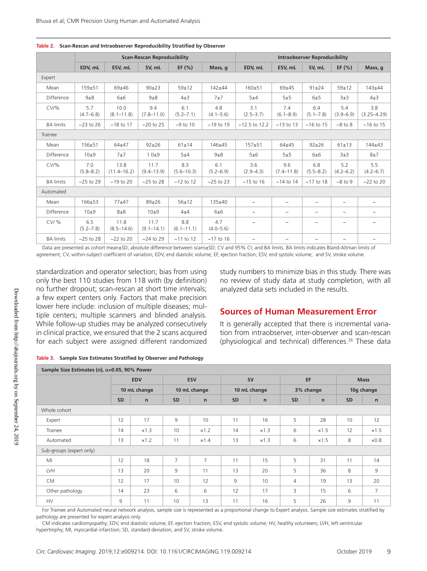|                  | <b>Scan-Rescan Reproducibility</b> |                         |                        |                       |                      | <b>Intraobserver Reproducibility</b> |                          |                          |                          |                          |  |
|------------------|------------------------------------|-------------------------|------------------------|-----------------------|----------------------|--------------------------------------|--------------------------|--------------------------|--------------------------|--------------------------|--|
|                  | EDV, mL                            | ESV, mL                 | SV, mL                 | EF $(%)$              | Mass, q              | EDV, mL                              | ESV, mL                  | SV, mL                   | EF $(%)$                 | Mass, g                  |  |
| Expert           |                                    |                         |                        |                       |                      |                                      |                          |                          |                          |                          |  |
| Mean             | $159 + 51$                         | $69 + 46$               | $90+23$                | $59 + 12$             | $142 + 44$           | $160 + 51$                           | $69 + 45$                | $91 + 24$                | $59 + 12$                | $143 + 44$               |  |
| Difference       | $9\pm8$                            | 6±6                     | $9\pm8$                | $4\pm3$               | 7±7                  | 5±4                                  | 5±5                      | 6±5                      | 3±3                      | $4\pm3$                  |  |
| CV/%             | 5.7<br>$(4.7 - 6.8)$               | 10.0<br>$(8.1 - 11.8)$  | 9.4<br>$(7.8 - 11.0)$  | 6.1<br>$(5.2 - 7.1)$  | 4.8<br>$(4.1 - 5.6)$ | 3.1<br>$(2.5 - 3.7)$                 | 7.4<br>$(6.1 - 8.9)$     | 6.4<br>$(5.1 - 7.8)$     | 5.4<br>$(3.9 - 6.9)$     | 3.8<br>$(3.25 - 4.29)$   |  |
| <b>BA</b> limits | $-23$ to 26                        | $-18$ to 17             | $-20$ to 25            | $-9$ to 10            | $-19$ to 19          | $-12.5$ to 12.2                      | $-13$ to 13              | $-16$ to 15              | $-8$ to $8$              | $-16$ to 15              |  |
| Trainee          |                                    |                         |                        |                       |                      |                                      |                          |                          |                          |                          |  |
| Mean             | $156 + 51$                         | $64+47$                 | $92 + 26$              | $61 \pm 14$           | $146 + 45$           | $157 + 51$                           | $64 + 45$                | $92 + 26$                | $61 + 13$                | $144 + 43$               |  |
| Difference       | 10±9                               | 7±7                     | 10±9                   | 5±4                   | $9\pm8$              | 5±6                                  | 5±5                      | 6±6                      | 3±3                      | 8±7                      |  |
| CV/%             | 7.0<br>$(5.8 - 8.2)$               | 13.8<br>$(11.4 - 16.2)$ | 11.7<br>$(9.4 - 13.9)$ | 8.3<br>$(5.6 - 10.3)$ | 6.1<br>$(5.2 - 6.9)$ | 3.6<br>$(2.9 - 4.3)$                 | 9.6<br>$(7.4 - 11.8)$    | 6.8<br>$(5.5 - 8.2)$     | 5.2<br>$(4.2 - 6.2)$     | 5.5<br>$(4.2 - 6.7)$     |  |
| <b>BA</b> limits | $-25$ to 29                        | $-19$ to 20             | $-25$ to 28            | $-12$ to 12           | $-25$ to 23          | $-15$ to 16                          | $-14$ to 14              | $-17$ to 18              | $-8$ to 9                | $-22$ to 20              |  |
| Automated        |                                    |                         |                        |                       |                      |                                      |                          |                          |                          |                          |  |
| Mean             | $166 + 53$                         | $77+47$                 | $89 + 26$              | $56 + 12$             | $135 + 40$           | $\overline{\phantom{0}}$             | $\overline{\phantom{0}}$ | $\overline{\phantom{0}}$ | $\overline{\phantom{0}}$ |                          |  |
| Difference       | 10±9                               | $8\pm8$                 | 10±9                   | $4\pm4$               | 6±6                  | $\qquad \qquad -$                    | $\qquad \qquad -$        | $\overline{\phantom{m}}$ | $\qquad \qquad -$        | $\overline{\phantom{m}}$ |  |
| CV/%             | 6.5<br>$(5.2 - 7.8)$               | 11.8<br>$(8.5 - 14.6)$  | 11.7<br>$(9.1 - 14.1)$ | 8.8<br>$(6.1 - 11.1)$ | 4.7<br>$(4.0 - 5.6)$ |                                      | $\overline{\phantom{0}}$ | $\qquad \qquad -$        | $\qquad \qquad -$        | $\qquad \qquad -$        |  |
| <b>BA</b> limits | $-25$ to 28                        | $-22$ to 20             | $-24$ to 29            | $-11$ to 12           | $-17$ to 16          | $\overline{\phantom{0}}$             | $\overline{\phantom{0}}$ | -                        | $\overline{\phantom{0}}$ | $\overline{\phantom{0}}$ |  |

|  | Table 2. Scan-Rescan and Intraobserver Reproducibility Stratified by Observer |  |  |
|--|-------------------------------------------------------------------------------|--|--|
|--|-------------------------------------------------------------------------------|--|--|

Data are presented as cohort mean±SD; absolute difference between scans±SD; CV and 95% CI; and BA limits. BA limits indicates Bland-Altman limits of agreement; CV, within-subject coefficient of variation; EDV, end diastolic volume; EF, ejection fraction; ESV, end systolic volume; and SV, stroke volume.

standardization and operator selection; bias from using only the best 110 studies from 118 with (by definition) no further dropout; scan-rescan at short time intervals; a few expert centers only. Factors that make precision lower here include: inclusion of multiple diseases; multiple centers; multiple scanners and blinded analysis. While follow-up studies may be analyzed consecutively in clinical practice, we ensured that the 2 scans acquired for each subject were assigned different randomized

study numbers to minimize bias in this study. There was no review of study data at study completion, with all analyzed data sets included in the results.

#### **Sources of Human Measurement Error**

It is generally accepted that there is incremental variation from intraobserver, inter-observer and scan-rescan (physiological and technical) differences.<sup>26</sup> These data

|  | Table 3. Sample Size Estimates Stratified by Observer and Pathology |  |  |  |  |  |  |
|--|---------------------------------------------------------------------|--|--|--|--|--|--|
|--|---------------------------------------------------------------------|--|--|--|--|--|--|

| Sample Size Estimates (n), $\alpha$ =0.05, 90% Power |              |              |                |                |              |              |                |              |             |                |
|------------------------------------------------------|--------------|--------------|----------------|----------------|--------------|--------------|----------------|--------------|-------------|----------------|
|                                                      | <b>EDV</b>   |              | <b>ESV</b>     |                | <b>SV</b>    |              | EF             |              | <b>Mass</b> |                |
|                                                      | 10 mL change |              | 10 mL change   |                | 10 mL change |              | 3% change      |              | 10g change  |                |
|                                                      | <b>SD</b>    | $\mathsf{n}$ | <b>SD</b>      | $\mathsf{n}$   | <b>SD</b>    | $\mathsf{n}$ | <b>SD</b>      | $\mathsf{n}$ | <b>SD</b>   | $\mathsf{n}$   |
| Whole cohort                                         |              |              |                |                |              |              |                |              |             |                |
| Expert                                               | 12           | 17           | 9              | 10             | 11           | 16           | 5              | 28           | 10          | 12             |
| Trainee                                              | 14           | ×1.3         | 10             | x1.2           | 14           | $\times$ 1.3 | 6              | x1.5         | 12          | $\times1.5$    |
| Automated                                            | 13           | x1.2         | 11             | $\times$ 1.4   | 13           | x1.3         | 6              | x1.5         | 8           | $\times 0.8$   |
| Sub-groups (expert only)                             |              |              |                |                |              |              |                |              |             |                |
| MI                                                   | 12           | 18           | $\overline{7}$ | $\overline{7}$ | 11           | 15           | 5              | 31           | 11          | 14             |
| <b>LVH</b>                                           | 13           | 20           | 9              | 11             | 13           | 20           | 5              | 36           | 8           | 9              |
| <b>CM</b>                                            | 12           | 17           | 10             | 12             | 9            | 10           | $\overline{4}$ | 19           | 13          | 20             |
| Other pathology                                      | 14           | 23           | 6              | 6              | 12           | 17           | 3              | 15           | 6           | $\overline{7}$ |
| <b>HV</b>                                            | 9            | 11           | 10             | 13             | 11           | 16           | 5              | 26           | 9           | 11             |

For Trainee and Automated neural network analysis, sample size is represented as a proportional change to Expert analysis. Sample size estimates stratified by pathology are presented for expert analysis only.

CM indicates cardiomyopathy; EDV, end diastolic volume; EF, ejection fraction; ESV, end systolic volume; HV, healthy volunteers; LVH, left ventricular hypertrophy; MI, myocardial infarction; SD, standard deviation; and SV, stroke volume.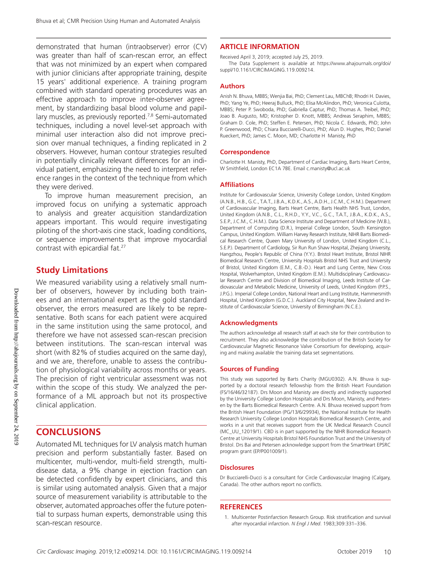demonstrated that human (intraobserver) error (CV) was greater than half of scan-rescan error, an effect that was not minimized by an expert when compared with junior clinicians after appropriate training, despite 15 years' additional experience. A training program combined with standard operating procedures was an effective approach to improve inter-observer agreement, by standardizing basal blood volume and papillary muscles, as previously reported.<sup>7,8</sup> Semi-automated techniques, including a novel level-set approach with minimal user interaction also did not improve precision over manual techniques, a finding replicated in 2 observers. However, human contour strategies resulted in potentially clinically relevant differences for an individual patient, emphasizing the need to interpret reference ranges in the context of the technique from which they were derived.

To improve human measurement precision, an improved focus on unifying a systematic approach to analysis and greater acquisition standardization appears important. This would require investigating piloting of the short-axis cine stack, loading conditions, or sequence improvements that improve myocardial contrast with epicardial fat.27

# **Study Limitations**

We measured variability using a relatively small number of observers, however by including both trainees and an international expert as the gold standard observer, the errors measured are likely to be representative. Both scans for each patient were acquired in the same institution using the same protocol, and therefore we have not assessed scan-rescan precision between institutions. The scan-rescan interval was short (with 82% of studies acquired on the same day), and we are, therefore, unable to assess the contribution of physiological variability across months or years. The precision of right ventricular assessment was not within the scope of this study. We analyzed the performance of a ML approach but not its prospective clinical application.

# **CONCLUSIONS**

Automated ML techniques for LV analysis match human precision and perform substantially faster. Based on multicenter, multi-vendor, multi-field strength, multidisease data, a 9% change in ejection fraction can be detected confidently by expert clinicians, and this is similar using automated analysis. Given that a major source of measurement variability is attributable to the observer, automated approaches offer the future potential to surpass human experts, demonstrable using this scan-rescan resource.

#### **ARTICLE INFORMATION**

Received April 3, 2019; accepted July 25, 2019. The Data Supplement is available at https://www.ahajournals.org/doi/ suppl/10.1161/CIRCIMAGING.119.009214.

#### **Authors**

Anish N. Bhuva, MBBS; Wenjia Bai, PhD; Clement Lau, MBChB; Rhodri H. Davies, PhD; Yang Ye, PhD; Heeraj Bulluck, PhD; Elisa McAlindon, PhD; Veronica Culotta, MBBS; Peter P. Swoboda, PhD; Gabriella Captur, PhD; Thomas A. Treibel, PhD; Joao B. Augusto, MD; Kristopher D. Knott, MBBS; Andreas Seraphim, MBBS; Graham D. Cole, PhD; Steffen E. Petersen, PhD; Nicola C. Edwards, PhD; John P. Greenwood, PhD; Chiara Bucciarelli-Ducci, PhD; Alun D. Hughes, PhD; Daniel Rueckert, PhD; James C. Moon, MD; Charlotte H Manisty, PhD

#### **Correspondence**

Charlotte H. Manisty, PhD, Department of Cardiac Imaging, Barts Heart Centre, W Smithfield, London EC1A 7BE. Email [c.manisty@ucl.ac.uk](mailto:c.manisty@ucl.ac.uk)

#### **Affiliations**

Institute for Cardiovascular Science, University College London, United Kingdom (A.N.B., H.B., G.C., T.A.T., J.B.A., K.D.K., A.S., A.D.H., J.C.M., C.H.M.). Department of Cardiovascular Imaging, Barts Heart Centre, Barts Health NHS Trust, London, United Kingdom (A.N.B., C.L., R.H.D., Y.Y., V.C., G.C., T.A.T., J.B.A., K.D.K., A.S., S.E.P., J.C.M., C.H.M.). Data Science Institute and Department of Medicine (W.B.), Department of Computing (D.R.), Imperial College London, South Kensington Campus, United Kingdom. William Harvey Research Institute, NIHR Barts Biomedical Research Centre, Queen Mary University of London, United Kingdom (C.L., S.E.P.). Department of Cardiology, Sir Run Run Shaw Hospital, Zhejiang University, Hangzhou, People's Republic of China (Y.Y.). Bristol Heart Institute, Bristol NIHR Biomedical Research Centre, University Hospitals Bristol NHS Trust and University of Bristol, United Kingdom (E.M., C.B.-D.). Heart and Lung Centre, New Cross Hospital, Wolverhampton, United Kingdom (E.M.). Multidisciplinary Cardiovascular Research Centre and Division of Biomedical Imaging, Leeds Institute of Cardiovascular and Metabolic Medicine, University of Leeds, United Kingdom (P.P.S., J.P.G.). Imperial College London, National Heart and Lung Institute, Hammersmith Hospital, United Kingdom (G.D.C.). Auckland City Hospital, New Zealand and Institute of Cardiovascular Science, University of Birmingham (N.C.E.).

#### **Acknowledgments**

The authors acknowledge all research staff at each site for their contribution to recruitment. They also acknowledge the contribution of the British Society for Cardiovascular Magnetic Resonance Valve Consortium for developing, acquiring and making available the training data set segmentations.

#### **Sources of Funding**

This study was supported by Barts Charity (MGU0302). A.N. Bhuva is supported by a doctoral research fellowship from the British Heart Foundation (FS/16/46/32187). Drs Moon and Manisty are directly and indirectly supported by the University College London Hospitals and Drs Moon, Manisty, and Petersen by the Barts Biomedical Research Centre. A.N. Bhuva received support from the British Heart Foundation (PG/13/6/29934), the National Institute for Health Research University College London Hospitals Biomedical Research Centre, and works in a unit that receives support from the UK Medical Research Council (MC\_UU\_12019/1). CBD is in part supported by the NIHR Biomedical Research Centre at University Hospitals Bristol NHS Foundation Trust and the University of Bristol. Drs Bai and Petersen acknowledge support from the SmartHeart EPSRC program grant (EP/P001009/1).

#### **Disclosures**

Dr Bucciarelli-Ducci is a consultant for Circle Cardiovascular Imaging (Calgary, Canada). The other authors report no conflicts.

#### **REFERENCES**

1. Multicenter Postinfarction Research Group. Risk stratification and survival after myocardial infarction. *N Engl J Med*. 1983;309:331–336.